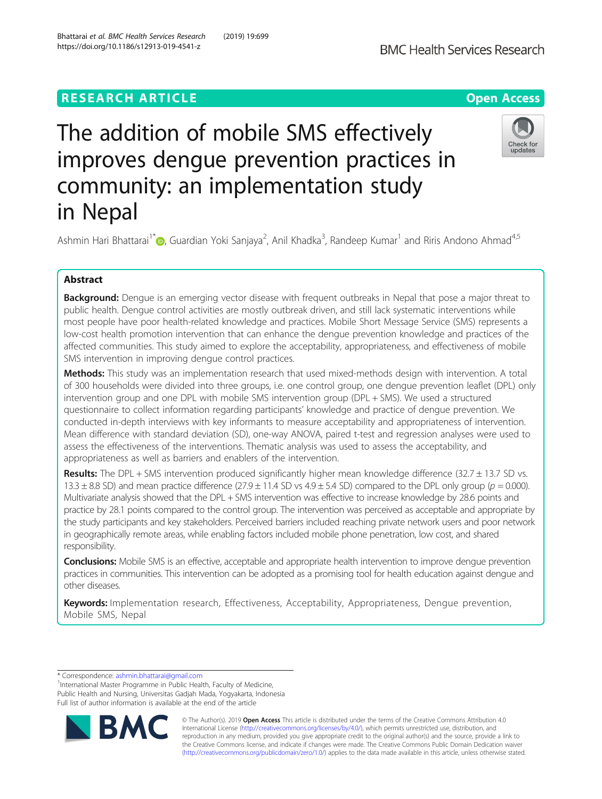# **RESEARCH ARTICLE Example 2014 12:30 The Contract of Contract ACCESS**

# The addition of mobile SMS effectively improves dengue prevention practices in community: an implementation study in Nepal



Ashmin Hari Bhattarai<sup>1[\\*](http://orcid.org/0000-0002-1040-6261)</sup> (@, Guardian Yoki Sanjaya<sup>2</sup>, Anil Khadka<sup>3</sup>, Randeep Kumar<sup>1</sup> and Riris Andono Ahmad<sup>4,5</sup>

# Abstract

Background: Dengue is an emerging vector disease with frequent outbreaks in Nepal that pose a major threat to public health. Dengue control activities are mostly outbreak driven, and still lack systematic interventions while most people have poor health-related knowledge and practices. Mobile Short Message Service (SMS) represents a low-cost health promotion intervention that can enhance the dengue prevention knowledge and practices of the affected communities. This study aimed to explore the acceptability, appropriateness, and effectiveness of mobile SMS intervention in improving dengue control practices.

Methods: This study was an implementation research that used mixed-methods design with intervention. A total of 300 households were divided into three groups, i.e. one control group, one dengue prevention leaflet (DPL) only intervention group and one DPL with mobile SMS intervention group (DPL + SMS). We used a structured questionnaire to collect information regarding participants' knowledge and practice of dengue prevention. We conducted in-depth interviews with key informants to measure acceptability and appropriateness of intervention. Mean difference with standard deviation (SD), one-way ANOVA, paired t-test and regression analyses were used to assess the effectiveness of the interventions. Thematic analysis was used to assess the acceptability, and appropriateness as well as barriers and enablers of the intervention.

Results: The DPL + SMS intervention produced significantly higher mean knowledge difference (32.7  $\pm$  13.7 SD vs. 13.3  $\pm$  8.8 SD) and mean practice difference (27.9  $\pm$  11.4 SD vs 4.9  $\pm$  5.4 SD) compared to the DPL only group ( $p = 0.000$ ). Multivariate analysis showed that the DPL + SMS intervention was effective to increase knowledge by 28.6 points and practice by 28.1 points compared to the control group. The intervention was perceived as acceptable and appropriate by the study participants and key stakeholders. Perceived barriers included reaching private network users and poor network in geographically remote areas, while enabling factors included mobile phone penetration, low cost, and shared responsibility.

**Conclusions:** Mobile SMS is an effective, acceptable and appropriate health intervention to improve dengue prevention practices in communities. This intervention can be adopted as a promising tool for health education against dengue and other diseases.

Keywords: Implementation research, Effectiveness, Acceptability, Appropriateness, Dengue prevention, Mobile SMS, Nepal

\* Correspondence: [ashmin.bhattarai@gmail.com](mailto:ashmin.bhattarai@gmail.com) <sup>1</sup>

<sup>1</sup>International Master Programme in Public Health, Faculty of Medicine, Public Health and Nursing, Universitas Gadjah Mada, Yogyakarta, Indonesia Full list of author information is available at the end of the article



© The Author(s). 2019 Open Access This article is distributed under the terms of the Creative Commons Attribution 4.0 International License [\(http://creativecommons.org/licenses/by/4.0/](http://creativecommons.org/licenses/by/4.0/)), which permits unrestricted use, distribution, and reproduction in any medium, provided you give appropriate credit to the original author(s) and the source, provide a link to the Creative Commons license, and indicate if changes were made. The Creative Commons Public Domain Dedication waiver [\(http://creativecommons.org/publicdomain/zero/1.0/](http://creativecommons.org/publicdomain/zero/1.0/)) applies to the data made available in this article, unless otherwise stated.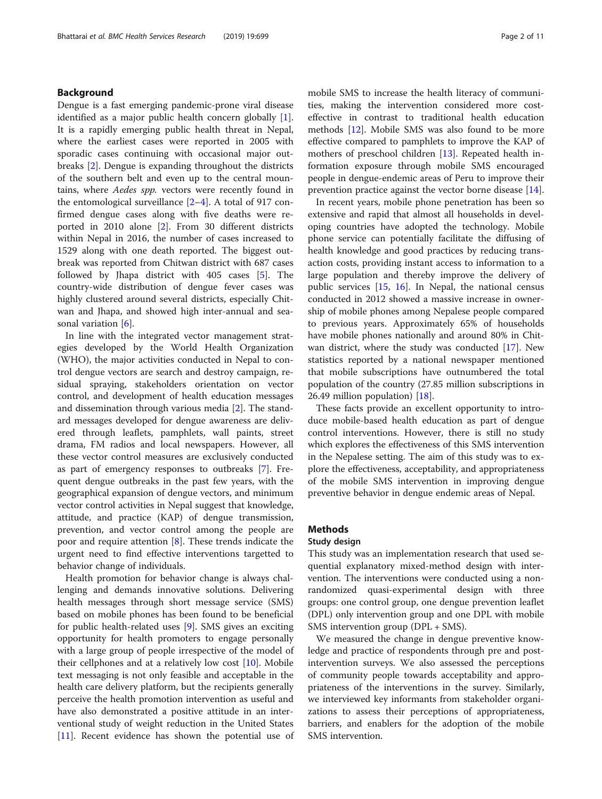# Background

Dengue is a fast emerging pandemic-prone viral disease identified as a major public health concern globally [\[1](#page-9-0)]. It is a rapidly emerging public health threat in Nepal, where the earliest cases were reported in 2005 with sporadic cases continuing with occasional major outbreaks [\[2](#page-9-0)]. Dengue is expanding throughout the districts of the southern belt and even up to the central mountains, where Aedes spp. vectors were recently found in the entomological surveillance [[2](#page-9-0)–[4](#page-9-0)]. A total of 917 confirmed dengue cases along with five deaths were reported in 2010 alone [[2\]](#page-9-0). From 30 different districts within Nepal in 2016, the number of cases increased to 1529 along with one death reported. The biggest outbreak was reported from Chitwan district with 687 cases followed by Jhapa district with 405 cases [\[5\]](#page-9-0). The country-wide distribution of dengue fever cases was highly clustered around several districts, especially Chitwan and Jhapa, and showed high inter-annual and seasonal variation [[6\]](#page-10-0).

In line with the integrated vector management strategies developed by the World Health Organization (WHO), the major activities conducted in Nepal to control dengue vectors are search and destroy campaign, residual spraying, stakeholders orientation on vector control, and development of health education messages and dissemination through various media [[2\]](#page-9-0). The standard messages developed for dengue awareness are delivered through leaflets, pamphlets, wall paints, street drama, FM radios and local newspapers. However, all these vector control measures are exclusively conducted as part of emergency responses to outbreaks [[7\]](#page-10-0). Frequent dengue outbreaks in the past few years, with the geographical expansion of dengue vectors, and minimum vector control activities in Nepal suggest that knowledge, attitude, and practice (KAP) of dengue transmission, prevention, and vector control among the people are poor and require attention [[8\]](#page-10-0). These trends indicate the urgent need to find effective interventions targetted to behavior change of individuals.

Health promotion for behavior change is always challenging and demands innovative solutions. Delivering health messages through short message service (SMS) based on mobile phones has been found to be beneficial for public health-related uses [[9\]](#page-10-0). SMS gives an exciting opportunity for health promoters to engage personally with a large group of people irrespective of the model of their cellphones and at a relatively low cost [\[10](#page-10-0)]. Mobile text messaging is not only feasible and acceptable in the health care delivery platform, but the recipients generally perceive the health promotion intervention as useful and have also demonstrated a positive attitude in an interventional study of weight reduction in the United States [[11\]](#page-10-0). Recent evidence has shown the potential use of

mobile SMS to increase the health literacy of communities, making the intervention considered more costeffective in contrast to traditional health education methods [\[12](#page-10-0)]. Mobile SMS was also found to be more effective compared to pamphlets to improve the KAP of mothers of preschool children [[13\]](#page-10-0). Repeated health information exposure through mobile SMS encouraged people in dengue-endemic areas of Peru to improve their prevention practice against the vector borne disease [\[14](#page-10-0)].

In recent years, mobile phone penetration has been so extensive and rapid that almost all households in developing countries have adopted the technology. Mobile phone service can potentially facilitate the diffusing of health knowledge and good practices by reducing transaction costs, providing instant access to information to a large population and thereby improve the delivery of public services [\[15](#page-10-0), [16\]](#page-10-0). In Nepal, the national census conducted in 2012 showed a massive increase in ownership of mobile phones among Nepalese people compared to previous years. Approximately 65% of households have mobile phones nationally and around 80% in Chitwan district, where the study was conducted [[17\]](#page-10-0). New statistics reported by a national newspaper mentioned that mobile subscriptions have outnumbered the total population of the country (27.85 million subscriptions in 26.49 million population) [[18\]](#page-10-0).

These facts provide an excellent opportunity to introduce mobile-based health education as part of dengue control interventions. However, there is still no study which explores the effectiveness of this SMS intervention in the Nepalese setting. The aim of this study was to explore the effectiveness, acceptability, and appropriateness of the mobile SMS intervention in improving dengue preventive behavior in dengue endemic areas of Nepal.

#### Methods

# Study design

This study was an implementation research that used sequential explanatory mixed-method design with intervention. The interventions were conducted using a nonrandomized quasi-experimental design with three groups: one control group, one dengue prevention leaflet (DPL) only intervention group and one DPL with mobile SMS intervention group (DPL + SMS).

We measured the change in dengue preventive knowledge and practice of respondents through pre and postintervention surveys. We also assessed the perceptions of community people towards acceptability and appropriateness of the interventions in the survey. Similarly, we interviewed key informants from stakeholder organizations to assess their perceptions of appropriateness, barriers, and enablers for the adoption of the mobile SMS intervention.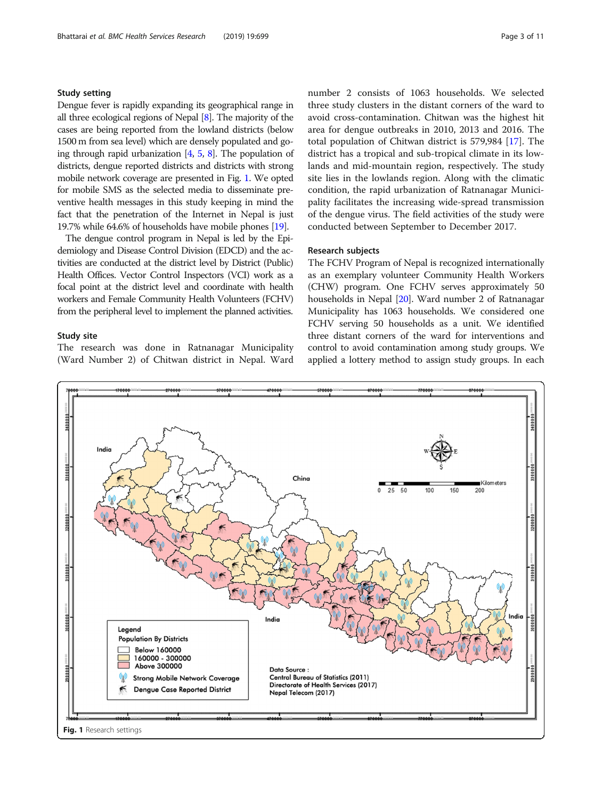# <span id="page-2-0"></span>Study setting

Dengue fever is rapidly expanding its geographical range in all three ecological regions of Nepal [\[8\]](#page-10-0). The majority of the cases are being reported from the lowland districts (below 1500 m from sea level) which are densely populated and going through rapid urbanization  $[4, 5, 8]$  $[4, 5, 8]$  $[4, 5, 8]$  $[4, 5, 8]$  $[4, 5, 8]$  $[4, 5, 8]$ . The population of districts, dengue reported districts and districts with strong mobile network coverage are presented in Fig. 1. We opted for mobile SMS as the selected media to disseminate preventive health messages in this study keeping in mind the fact that the penetration of the Internet in Nepal is just 19.7% while 64.6% of households have mobile phones [\[19\]](#page-10-0).

The dengue control program in Nepal is led by the Epidemiology and Disease Control Division (EDCD) and the activities are conducted at the district level by District (Public) Health Offices. Vector Control Inspectors (VCI) work as a focal point at the district level and coordinate with health workers and Female Community Health Volunteers (FCHV) from the peripheral level to implement the planned activities.

#### Study site

The research was done in Ratnanagar Municipality (Ward Number 2) of Chitwan district in Nepal. Ward

number 2 consists of 1063 households. We selected three study clusters in the distant corners of the ward to avoid cross-contamination. Chitwan was the highest hit area for dengue outbreaks in 2010, 2013 and 2016. The total population of Chitwan district is 579,984 [[17](#page-10-0)]. The district has a tropical and sub-tropical climate in its lowlands and mid-mountain region, respectively. The study site lies in the lowlands region. Along with the climatic condition, the rapid urbanization of Ratnanagar Municipality facilitates the increasing wide-spread transmission of the dengue virus. The field activities of the study were conducted between September to December 2017.

#### Research subjects

The FCHV Program of Nepal is recognized internationally as an exemplary volunteer Community Health Workers (CHW) program. One FCHV serves approximately 50 households in Nepal [\[20](#page-10-0)]. Ward number 2 of Ratnanagar Municipality has 1063 households. We considered one FCHV serving 50 households as a unit. We identified three distant corners of the ward for interventions and control to avoid contamination among study groups. We applied a lottery method to assign study groups. In each

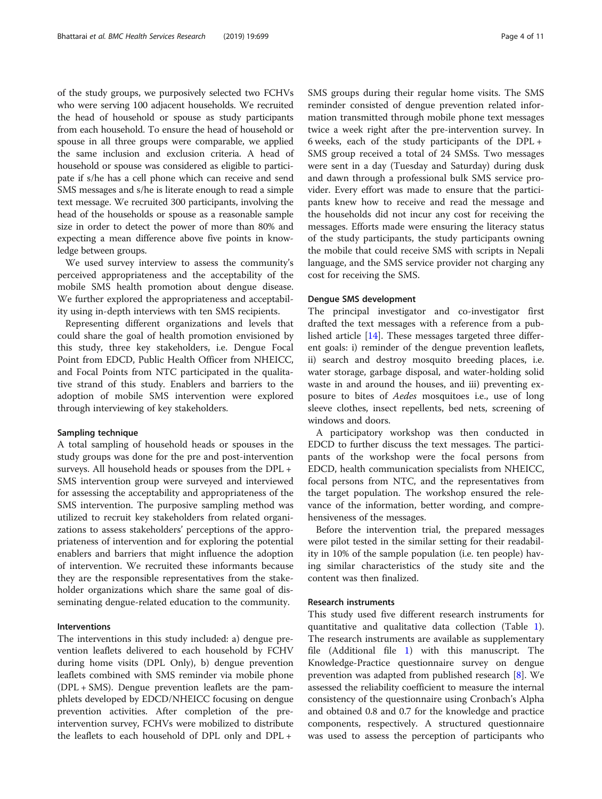of the study groups, we purposively selected two FCHVs who were serving 100 adjacent households. We recruited the head of household or spouse as study participants from each household. To ensure the head of household or spouse in all three groups were comparable, we applied the same inclusion and exclusion criteria. A head of household or spouse was considered as eligible to participate if s/he has a cell phone which can receive and send SMS messages and s/he is literate enough to read a simple text message. We recruited 300 participants, involving the head of the households or spouse as a reasonable sample size in order to detect the power of more than 80% and expecting a mean difference above five points in knowledge between groups.

We used survey interview to assess the community's perceived appropriateness and the acceptability of the mobile SMS health promotion about dengue disease. We further explored the appropriateness and acceptability using in-depth interviews with ten SMS recipients.

Representing different organizations and levels that could share the goal of health promotion envisioned by this study, three key stakeholders, i.e. Dengue Focal Point from EDCD, Public Health Officer from NHEICC, and Focal Points from NTC participated in the qualitative strand of this study. Enablers and barriers to the adoption of mobile SMS intervention were explored through interviewing of key stakeholders.

#### Sampling technique

A total sampling of household heads or spouses in the study groups was done for the pre and post-intervention surveys. All household heads or spouses from the DPL + SMS intervention group were surveyed and interviewed for assessing the acceptability and appropriateness of the SMS intervention. The purposive sampling method was utilized to recruit key stakeholders from related organizations to assess stakeholders' perceptions of the appropriateness of intervention and for exploring the potential enablers and barriers that might influence the adoption of intervention. We recruited these informants because they are the responsible representatives from the stakeholder organizations which share the same goal of disseminating dengue-related education to the community.

# Interventions

The interventions in this study included: a) dengue prevention leaflets delivered to each household by FCHV during home visits (DPL Only), b) dengue prevention leaflets combined with SMS reminder via mobile phone (DPL + SMS). Dengue prevention leaflets are the pamphlets developed by EDCD/NHEICC focusing on dengue prevention activities. After completion of the preintervention survey, FCHVs were mobilized to distribute the leaflets to each household of DPL only and DPL +

SMS groups during their regular home visits. The SMS reminder consisted of dengue prevention related information transmitted through mobile phone text messages twice a week right after the pre-intervention survey. In 6 weeks, each of the study participants of the DPL + SMS group received a total of 24 SMSs. Two messages were sent in a day (Tuesday and Saturday) during dusk and dawn through a professional bulk SMS service provider. Every effort was made to ensure that the participants knew how to receive and read the message and the households did not incur any cost for receiving the messages. Efforts made were ensuring the literacy status of the study participants, the study participants owning the mobile that could receive SMS with scripts in Nepali language, and the SMS service provider not charging any cost for receiving the SMS.

#### Dengue SMS development

The principal investigator and co-investigator first drafted the text messages with a reference from a published article [\[14\]](#page-10-0). These messages targeted three different goals: i) reminder of the dengue prevention leaflets, ii) search and destroy mosquito breeding places, i.e. water storage, garbage disposal, and water-holding solid waste in and around the houses, and iii) preventing exposure to bites of Aedes mosquitoes i.e., use of long sleeve clothes, insect repellents, bed nets, screening of windows and doors.

A participatory workshop was then conducted in EDCD to further discuss the text messages. The participants of the workshop were the focal persons from EDCD, health communication specialists from NHEICC, focal persons from NTC, and the representatives from the target population. The workshop ensured the relevance of the information, better wording, and comprehensiveness of the messages.

Before the intervention trial, the prepared messages were pilot tested in the similar setting for their readability in 10% of the sample population (i.e. ten people) having similar characteristics of the study site and the content was then finalized.

### Research instruments

This study used five different research instruments for quantitative and qualitative data collection (Table [1](#page-4-0)). The research instruments are available as supplementary file (Additional file [1](#page-9-0)) with this manuscript. The Knowledge-Practice questionnaire survey on dengue prevention was adapted from published research [[8\]](#page-10-0). We assessed the reliability coefficient to measure the internal consistency of the questionnaire using Cronbach's Alpha and obtained 0.8 and 0.7 for the knowledge and practice components, respectively. A structured questionnaire was used to assess the perception of participants who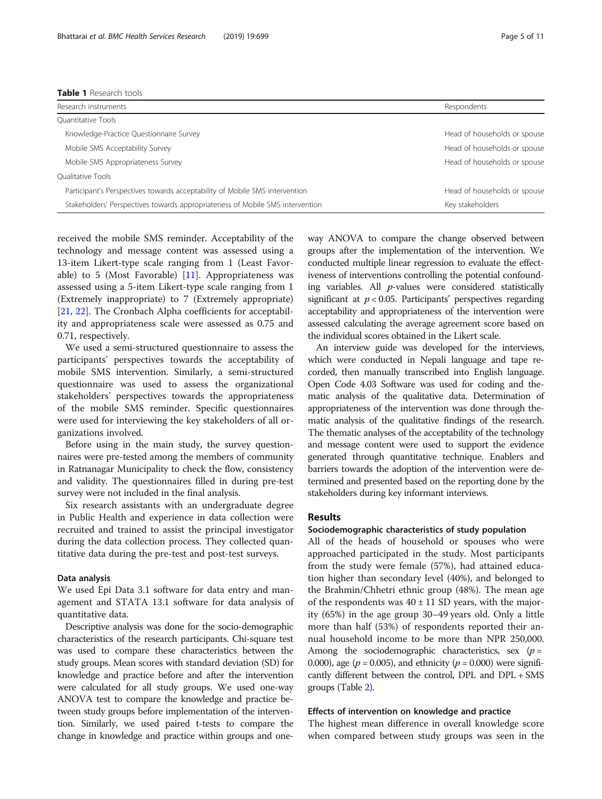<span id="page-4-0"></span>

| Research instruments                                                          | Respondents                  |
|-------------------------------------------------------------------------------|------------------------------|
| Ouantitative Tools                                                            |                              |
| Knowledge-Practice Questionnaire Survey                                       | Head of households or spouse |
| Mobile SMS Acceptability Survey                                               | Head of households or spouse |
| Mobile SMS Appropriateness Survey                                             | Head of households or spouse |
| <b>Oualitative Tools</b>                                                      |                              |
| Participant's Perspectives towards acceptability of Mobile SMS intervention   | Head of households or spouse |
| Stakeholders' Perspectives towards appropriateness of Mobile SMS intervention | Key stakeholders             |

received the mobile SMS reminder. Acceptability of the technology and message content was assessed using a 13-item Likert-type scale ranging from 1 (Least Favorable) to 5 (Most Favorable) [[11](#page-10-0)]. Appropriateness was assessed using a 5-item Likert-type scale ranging from 1 (Extremely inappropriate) to 7 (Extremely appropriate) [[21,](#page-10-0) [22\]](#page-10-0). The Cronbach Alpha coefficients for acceptability and appropriateness scale were assessed as 0.75 and 0.71, respectively.

We used a semi-structured questionnaire to assess the participants' perspectives towards the acceptability of mobile SMS intervention. Similarly, a semi-structured questionnaire was used to assess the organizational stakeholders' perspectives towards the appropriateness of the mobile SMS reminder. Specific questionnaires were used for interviewing the key stakeholders of all organizations involved.

Before using in the main study, the survey questionnaires were pre-tested among the members of community in Ratnanagar Municipality to check the flow, consistency and validity. The questionnaires filled in during pre-test survey were not included in the final analysis.

Six research assistants with an undergraduate degree in Public Health and experience in data collection were recruited and trained to assist the principal investigator during the data collection process. They collected quantitative data during the pre-test and post-test surveys.

# Data analysis

We used Epi Data 3.1 software for data entry and management and STATA 13.1 software for data analysis of quantitative data.

Descriptive analysis was done for the socio-demographic characteristics of the research participants. Chi-square test was used to compare these characteristics between the study groups. Mean scores with standard deviation (SD) for knowledge and practice before and after the intervention were calculated for all study groups. We used one-way ANOVA test to compare the knowledge and practice between study groups before implementation of the intervention. Similarly, we used paired t-tests to compare the change in knowledge and practice within groups and oneway ANOVA to compare the change observed between groups after the implementation of the intervention. We conducted multiple linear regression to evaluate the effectiveness of interventions controlling the potential confounding variables. All p-values were considered statistically significant at  $p < 0.05$ . Participants' perspectives regarding acceptability and appropriateness of the intervention were assessed calculating the average agreement score based on the individual scores obtained in the Likert scale.

An interview guide was developed for the interviews, which were conducted in Nepali language and tape recorded, then manually transcribed into English language. Open Code 4.03 Software was used for coding and thematic analysis of the qualitative data. Determination of appropriateness of the intervention was done through thematic analysis of the qualitative findings of the research. The thematic analyses of the acceptability of the technology and message content were used to support the evidence generated through quantitative technique. Enablers and barriers towards the adoption of the intervention were determined and presented based on the reporting done by the stakeholders during key informant interviews.

# Results

#### Sociodemographic characteristics of study population

All of the heads of household or spouses who were approached participated in the study. Most participants from the study were female (57%), had attained education higher than secondary level (40%), and belonged to the Brahmin/Chhetri ethnic group (48%). The mean age of the respondents was  $40 \pm 11$  SD years, with the majority (65%) in the age group 30–49 years old. Only a little more than half (53%) of respondents reported their annual household income to be more than NPR 250,000. Among the sociodemographic characteristics, sex  $(p =$ 0.000), age ( $p = 0.005$ ), and ethnicity ( $p = 0.000$ ) were significantly different between the control, DPL and DPL + SMS groups (Table [2\)](#page-5-0).

#### Effects of intervention on knowledge and practice

The highest mean difference in overall knowledge score when compared between study groups was seen in the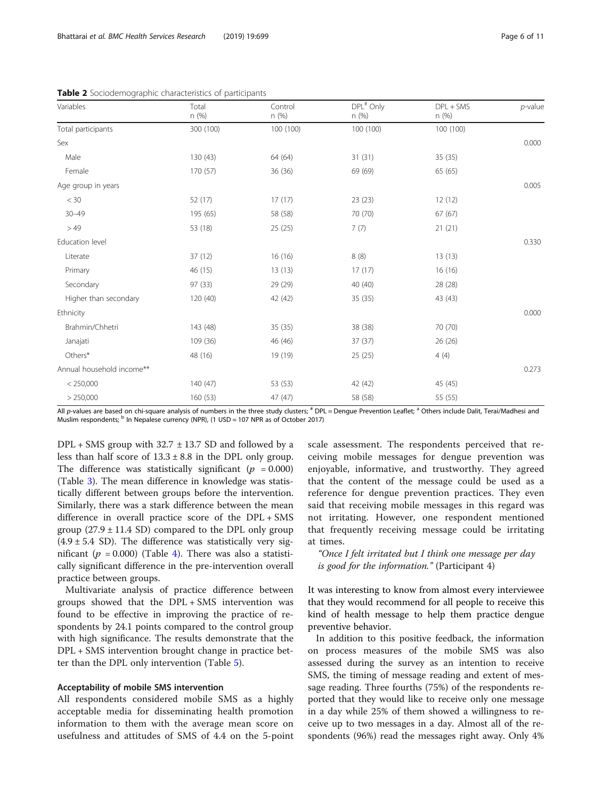| Variables                 | Total     | Control   | DPL# Only | $DPL + SMS$ | $p$ -value |
|---------------------------|-----------|-----------|-----------|-------------|------------|
|                           | n (%)     | n(%)      | n(%)      | n (%)       |            |
| Total participants        | 300 (100) | 100 (100) | 100 (100) | 100 (100)   |            |
| Sex                       |           |           |           |             | 0.000      |
| Male                      | 130 (43)  | 64 (64)   | 31(31)    | 35(35)      |            |
| Female                    | 170 (57)  | 36 (36)   | 69 (69)   | 65 (65)     |            |
| Age group in years        |           |           |           |             | 0.005      |
| $<$ 30                    | 52 (17)   | 17(17)    | 23(23)    | 12(12)      |            |
| $30 - 49$                 | 195 (65)  | 58 (58)   | 70 (70)   | 67(67)      |            |
| >49                       | 53 (18)   | 25(25)    | 7(7)      | 21(21)      |            |
| Education level           |           |           |           |             | 0.330      |
| Literate                  | 37 (12)   | 16(16)    | 8(8)      | 13(13)      |            |
| Primary                   | 46 (15)   | 13(13)    | 17(17)    | 16(16)      |            |
| Secondary                 | 97 (33)   | 29 (29)   | 40 (40)   | 28 (28)     |            |
| Higher than secondary     | 120 (40)  | 42 (42)   | 35(35)    | 43 (43)     |            |
| Ethnicity                 |           |           |           |             | 0.000      |
| Brahmin/Chhetri           | 143 (48)  | 35 (35)   | 38 (38)   | 70 (70)     |            |
| Janajati                  | 109 (36)  | 46 (46)   | 37(37)    | 26 (26)     |            |
| Others*                   | 48 (16)   | 19 (19)   | 25 (25)   | 4(4)        |            |
| Annual household income** |           |           |           |             | 0.273      |
| < 250,000                 | 140(47)   | 53 (53)   | 42 (42)   | 45 (45)     |            |
| > 250,000                 | 160(53)   | 47 (47)   | 58 (58)   | 55 (55)     |            |

<span id="page-5-0"></span>Table 2 Sociodemographic characteristics of participants

All p-values are based on chi-square analysis of numbers in the three study clusters; # DPL = Dengue Prevention Leaflet; <sup>a</sup> Others include Dalit, Terai/Madhesi and Muslim respondents; <sup>b</sup> In Nepalese currency (NPR), (1 USD = 107 NPR as of October 2017)

 $DPL + SMS$  group with 32.7  $\pm$  13.7 SD and followed by a less than half score of  $13.3 \pm 8.8$  in the DPL only group. The difference was statistically significant ( $p = 0.000$ ) (Table [3](#page-6-0)). The mean difference in knowledge was statistically different between groups before the intervention. Similarly, there was a stark difference between the mean difference in overall practice score of the DPL + SMS group  $(27.9 \pm 11.4 \text{ SD})$  compared to the DPL only group  $(4.9 \pm 5.4 \, \text{SD})$ . The difference was statistically very significant ( $p = 0.000$ ) (Table [4](#page-6-0)). There was also a statistically significant difference in the pre-intervention overall practice between groups.

Multivariate analysis of practice difference between groups showed that the DPL + SMS intervention was found to be effective in improving the practice of respondents by 24.1 points compared to the control group with high significance. The results demonstrate that the DPL + SMS intervention brought change in practice better than the DPL only intervention (Table [5](#page-7-0)).

# Acceptability of mobile SMS intervention

All respondents considered mobile SMS as a highly acceptable media for disseminating health promotion information to them with the average mean score on usefulness and attitudes of SMS of 4.4 on the 5-point scale assessment. The respondents perceived that receiving mobile messages for dengue prevention was enjoyable, informative, and trustworthy. They agreed that the content of the message could be used as a reference for dengue prevention practices. They even said that receiving mobile messages in this regard was not irritating. However, one respondent mentioned that frequently receiving message could be irritating at times.

"Once I felt irritated but I think one message per day is good for the information." (Participant 4)

It was interesting to know from almost every interviewee that they would recommend for all people to receive this kind of health message to help them practice dengue preventive behavior.

In addition to this positive feedback, the information on process measures of the mobile SMS was also assessed during the survey as an intention to receive SMS, the timing of message reading and extent of message reading. Three fourths (75%) of the respondents reported that they would like to receive only one message in a day while 25% of them showed a willingness to receive up to two messages in a day. Almost all of the respondents (96%) read the messages right away. Only 4%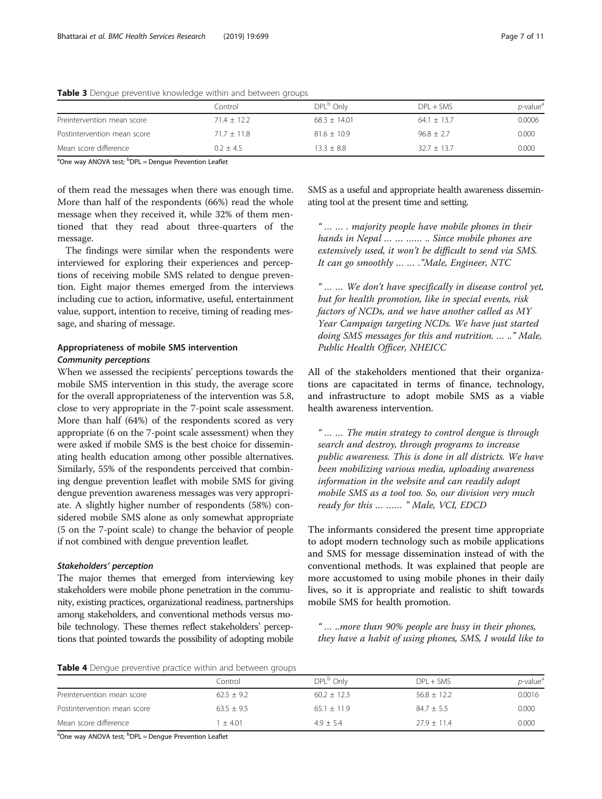|                             | Control       | DPL <sup>b</sup> Only | $DPI + SMS$     | <i>p</i> -value <sup>a</sup> |
|-----------------------------|---------------|-----------------------|-----------------|------------------------------|
| Preintervention mean score  | $71.4 + 12.2$ | $68.3 \pm 14.01$      | $64.1 \pm 13.7$ | 0.0006                       |
| Postintervention mean score | $71.7 + 11.8$ | $81.6 \pm 10.9$       | $96.8 \pm 2.7$  | 0.000                        |
| Mean score difference       | $0.2 + 4.5$   | $13.3 + 8.8$          | $32.7 \pm 13.7$ | 0.000                        |

<span id="page-6-0"></span>Table 3 Dengue preventive knowledge within and between groups

<sup>a</sup>One way ANOVA test; <sup>b</sup>DPL = Dengue Prevention Leaflet

of them read the messages when there was enough time. More than half of the respondents (66%) read the whole message when they received it, while 32% of them mentioned that they read about three-quarters of the message.

The findings were similar when the respondents were interviewed for exploring their experiences and perceptions of receiving mobile SMS related to dengue prevention. Eight major themes emerged from the interviews including cue to action, informative, useful, entertainment value, support, intention to receive, timing of reading message, and sharing of message.

# Appropriateness of mobile SMS intervention Community perceptions

When we assessed the recipients' perceptions towards the mobile SMS intervention in this study, the average score for the overall appropriateness of the intervention was 5.8, close to very appropriate in the 7-point scale assessment. More than half (64%) of the respondents scored as very appropriate (6 on the 7-point scale assessment) when they were asked if mobile SMS is the best choice for disseminating health education among other possible alternatives. Similarly, 55% of the respondents perceived that combining dengue prevention leaflet with mobile SMS for giving dengue prevention awareness messages was very appropriate. A slightly higher number of respondents (58%) considered mobile SMS alone as only somewhat appropriate (5 on the 7-point scale) to change the behavior of people if not combined with dengue prevention leaflet.

# Stakeholders' perception

The major themes that emerged from interviewing key stakeholders were mobile phone penetration in the community, existing practices, organizational readiness, partnerships among stakeholders, and conventional methods versus mobile technology. These themes reflect stakeholders' perceptions that pointed towards the possibility of adopting mobile SMS as a useful and appropriate health awareness disseminating tool at the present time and setting.

"…… . majority people have mobile phones in their hands in Nepal … … …… .. Since mobile phones are extensively used, it won't be difficult to send via SMS. It can go smoothly … … ."Male, Engineer, NTC

"…… We don't have specifically in disease control yet, but for health promotion, like in special events, risk factors of NCDs, and we have another called as MY Year Campaign targeting NCDs. We have just started doing SMS messages for this and nutrition. … .." Male, Public Health Officer, NHEICC

All of the stakeholders mentioned that their organizations are capacitated in terms of finance, technology, and infrastructure to adopt mobile SMS as a viable health awareness intervention.

"…… The main strategy to control dengue is through search and destroy, through programs to increase public awareness. This is done in all districts. We have been mobilizing various media, uploading awareness information in the website and can readily adopt mobile SMS as a tool too. So, our division very much ready for this … …… " Male, VCI, EDCD

The informants considered the present time appropriate to adopt modern technology such as mobile applications and SMS for message dissemination instead of with the conventional methods. It was explained that people are more accustomed to using mobile phones in their daily lives, so it is appropriate and realistic to shift towards mobile SMS for health promotion.

" … ..more than 90% people are busy in their phones, they have a habit of using phones, SMS, I would like to

Table 4 Dengue preventive practice within and between groups

|                             | Control      | DPL <sup>b</sup> Only | $DPL + SMS$     | $p$ -value <sup>a</sup> |
|-----------------------------|--------------|-----------------------|-----------------|-------------------------|
| Preintervention mean score  | $62.5 + 9.2$ | $60.2 \pm 12.3$       | $56.8 \pm 12.2$ | 0.0016                  |
| Postintervention mean score | $63.5 + 9.5$ | $65.1 + 11.9$         | $84.7 \pm 5.5$  | 0.000                   |
| Mean score difference       | $+4.01$      | $4.9 + 5.4$           | $27.9 + 11.4$   | 0.000                   |

<sup>a</sup>One way ANOVA test; <sup>b</sup>DPL = Dengue Prevention Leaflet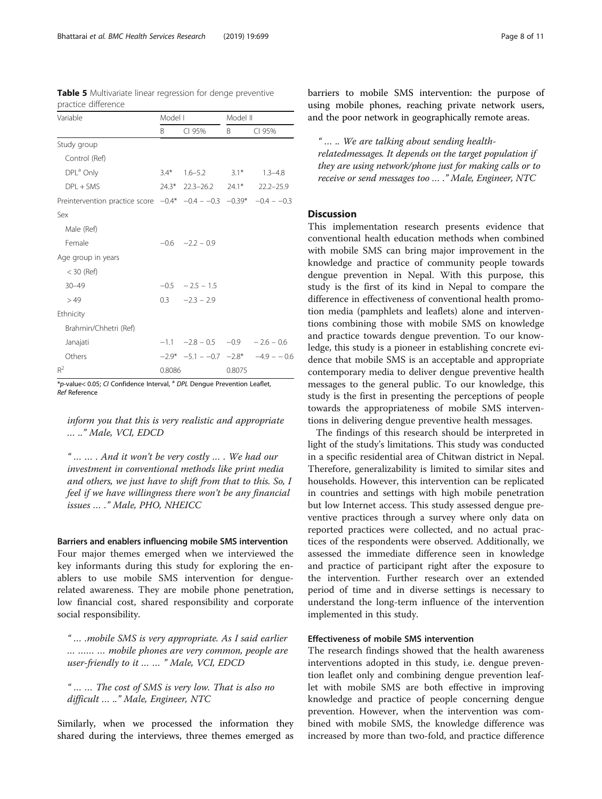| Variable                                                                    | Model I |                                   | Model II |                                              |
|-----------------------------------------------------------------------------|---------|-----------------------------------|----------|----------------------------------------------|
|                                                                             | B.      | CI 95%                            | B.       | CI 95%                                       |
| Study group                                                                 |         |                                   |          |                                              |
| Control (Ref)                                                               |         |                                   |          |                                              |
| DPL <sup>a</sup> Only                                                       | $3.4*$  | $1.6 - 5.2$                       | $3.1*$   | $1.3 - 4.8$                                  |
| $DPI + SMS$                                                                 |         | 24.3* 22.3-26.2 24.1* 22.2-25.9   |          |                                              |
| Preintervention practice score $-0.4$ * $-0.4 - 0.3$ $-0.39$ * $-0.4 - 0.3$ |         |                                   |          |                                              |
| Sex                                                                         |         |                                   |          |                                              |
| Male (Ref)                                                                  |         |                                   |          |                                              |
| Female                                                                      |         | $-0.6 -2.2 -0.9$                  |          |                                              |
| Age group in years                                                          |         |                                   |          |                                              |
| $<$ 30 (Ref)                                                                |         |                                   |          |                                              |
| $30 - 49$                                                                   |         | $-0.5 - 2.5 - 1.5$                |          |                                              |
| >49                                                                         |         | $0.3 -2.3 -2.9$                   |          |                                              |
| Ethnicity                                                                   |         |                                   |          |                                              |
| Brahmin/Chhetri (Ref)                                                       |         |                                   |          |                                              |
| Janajati                                                                    |         | $-1.1 -2.8 - 0.5 -0.9 -2.6 - 0.6$ |          |                                              |
| Others                                                                      |         |                                   |          | $-2.9^*$ $-5.1 - -0.7$ $-2.8^*$ $-4.9 - 0.6$ |
| $R^2$                                                                       | 0.8086  |                                   | 0.8075   |                                              |

<span id="page-7-0"></span>Table 5 Multivariate linear regression for denge preventive practice difference

\*p-value< 0.05; CI Confidence Interval, <sup>a</sup> DPL Dengue Prevention Leaflet, Ref Reference

inform you that this is very realistic and appropriate … .." Male, VCI, EDCD

"…… . And it won't be very costly … . We had our investment in conventional methods like print media and others, we just have to shift from that to this. So, I feel if we have willingness there won't be any financial issues … ." Male, PHO, NHEICC

### Barriers and enablers influencing mobile SMS intervention

Four major themes emerged when we interviewed the key informants during this study for exploring the enablers to use mobile SMS intervention for denguerelated awareness. They are mobile phone penetration, low financial cost, shared responsibility and corporate social responsibility.

" … .mobile SMS is very appropriate. As I said earlier … …… … mobile phones are very common, people are user-friendly to it ……" Male, VCI, EDCD

"…… The cost of SMS is very low. That is also no difficult … .." Male, Engineer, NTC

Similarly, when we processed the information they shared during the interviews, three themes emerged as barriers to mobile SMS intervention: the purpose of using mobile phones, reaching private network users, and the poor network in geographically remote areas.

" … .. We are talking about sending healthrelatedmessages. It depends on the target population if they are using network/phone just for making calls or to receive or send messages too … ." Male, Engineer, NTC

# Discussion

This implementation research presents evidence that conventional health education methods when combined with mobile SMS can bring major improvement in the knowledge and practice of community people towards dengue prevention in Nepal. With this purpose, this study is the first of its kind in Nepal to compare the difference in effectiveness of conventional health promotion media (pamphlets and leaflets) alone and interventions combining those with mobile SMS on knowledge and practice towards dengue prevention. To our knowledge, this study is a pioneer in establishing concrete evidence that mobile SMS is an acceptable and appropriate contemporary media to deliver dengue preventive health messages to the general public. To our knowledge, this study is the first in presenting the perceptions of people towards the appropriateness of mobile SMS interventions in delivering dengue preventive health messages.

The findings of this research should be interpreted in light of the study's limitations. This study was conducted in a specific residential area of Chitwan district in Nepal. Therefore, generalizability is limited to similar sites and households. However, this intervention can be replicated in countries and settings with high mobile penetration but low Internet access. This study assessed dengue preventive practices through a survey where only data on reported practices were collected, and no actual practices of the respondents were observed. Additionally, we assessed the immediate difference seen in knowledge and practice of participant right after the exposure to the intervention. Further research over an extended period of time and in diverse settings is necessary to understand the long-term influence of the intervention implemented in this study.

# Effectiveness of mobile SMS intervention

The research findings showed that the health awareness interventions adopted in this study, i.e. dengue prevention leaflet only and combining dengue prevention leaflet with mobile SMS are both effective in improving knowledge and practice of people concerning dengue prevention. However, when the intervention was combined with mobile SMS, the knowledge difference was increased by more than two-fold, and practice difference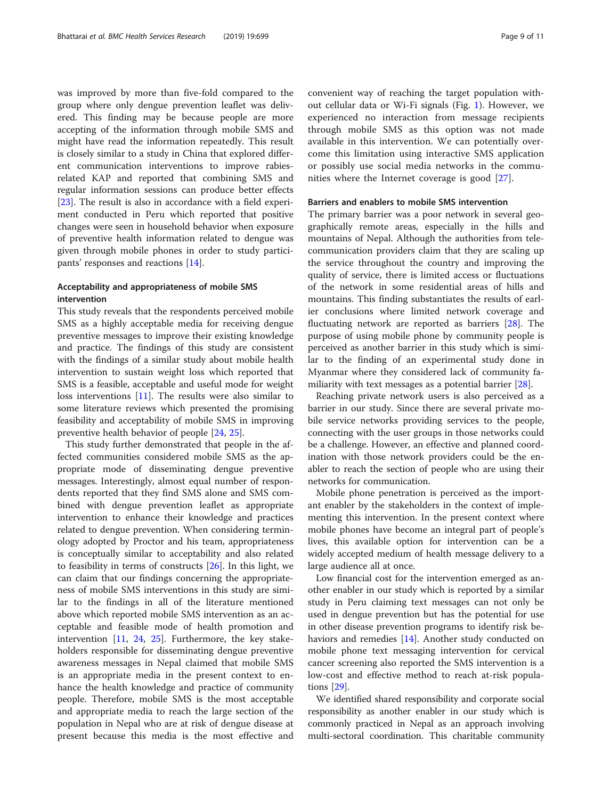was improved by more than five-fold compared to the group where only dengue prevention leaflet was delivered. This finding may be because people are more accepting of the information through mobile SMS and might have read the information repeatedly. This result is closely similar to a study in China that explored different communication interventions to improve rabiesrelated KAP and reported that combining SMS and regular information sessions can produce better effects [[23\]](#page-10-0). The result is also in accordance with a field experiment conducted in Peru which reported that positive changes were seen in household behavior when exposure of preventive health information related to dengue was given through mobile phones in order to study participants' responses and reactions [\[14\]](#page-10-0).

# Acceptability and appropriateness of mobile SMS intervention

This study reveals that the respondents perceived mobile SMS as a highly acceptable media for receiving dengue preventive messages to improve their existing knowledge and practice. The findings of this study are consistent with the findings of a similar study about mobile health intervention to sustain weight loss which reported that SMS is a feasible, acceptable and useful mode for weight loss interventions [[11\]](#page-10-0). The results were also similar to some literature reviews which presented the promising feasibility and acceptability of mobile SMS in improving preventive health behavior of people [[24,](#page-10-0) [25\]](#page-10-0).

This study further demonstrated that people in the affected communities considered mobile SMS as the appropriate mode of disseminating dengue preventive messages. Interestingly, almost equal number of respondents reported that they find SMS alone and SMS combined with dengue prevention leaflet as appropriate intervention to enhance their knowledge and practices related to dengue prevention. When considering terminology adopted by Proctor and his team, appropriateness is conceptually similar to acceptability and also related to feasibility in terms of constructs [\[26](#page-10-0)]. In this light, we can claim that our findings concerning the appropriateness of mobile SMS interventions in this study are similar to the findings in all of the literature mentioned above which reported mobile SMS intervention as an acceptable and feasible mode of health promotion and intervention [[11,](#page-10-0) [24,](#page-10-0) [25](#page-10-0)]. Furthermore, the key stakeholders responsible for disseminating dengue preventive awareness messages in Nepal claimed that mobile SMS is an appropriate media in the present context to enhance the health knowledge and practice of community people. Therefore, mobile SMS is the most acceptable and appropriate media to reach the large section of the population in Nepal who are at risk of dengue disease at present because this media is the most effective and convenient way of reaching the target population without cellular data or Wi-Fi signals (Fig. [1](#page-2-0)). However, we experienced no interaction from message recipients through mobile SMS as this option was not made available in this intervention. We can potentially overcome this limitation using interactive SMS application or possibly use social media networks in the communities where the Internet coverage is good [[27](#page-10-0)].

# Barriers and enablers to mobile SMS intervention

The primary barrier was a poor network in several geographically remote areas, especially in the hills and mountains of Nepal. Although the authorities from telecommunication providers claim that they are scaling up the service throughout the country and improving the quality of service, there is limited access or fluctuations of the network in some residential areas of hills and mountains. This finding substantiates the results of earlier conclusions where limited network coverage and fluctuating network are reported as barriers [\[28\]](#page-10-0). The purpose of using mobile phone by community people is perceived as another barrier in this study which is similar to the finding of an experimental study done in Myanmar where they considered lack of community familiarity with text messages as a potential barrier [\[28](#page-10-0)].

Reaching private network users is also perceived as a barrier in our study. Since there are several private mobile service networks providing services to the people, connecting with the user groups in those networks could be a challenge. However, an effective and planned coordination with those network providers could be the enabler to reach the section of people who are using their networks for communication.

Mobile phone penetration is perceived as the important enabler by the stakeholders in the context of implementing this intervention. In the present context where mobile phones have become an integral part of people's lives, this available option for intervention can be a widely accepted medium of health message delivery to a large audience all at once.

Low financial cost for the intervention emerged as another enabler in our study which is reported by a similar study in Peru claiming text messages can not only be used in dengue prevention but has the potential for use in other disease prevention programs to identify risk behaviors and remedies [[14\]](#page-10-0). Another study conducted on mobile phone text messaging intervention for cervical cancer screening also reported the SMS intervention is a low-cost and effective method to reach at-risk populations [[29\]](#page-10-0).

We identified shared responsibility and corporate social responsibility as another enabler in our study which is commonly practiced in Nepal as an approach involving multi-sectoral coordination. This charitable community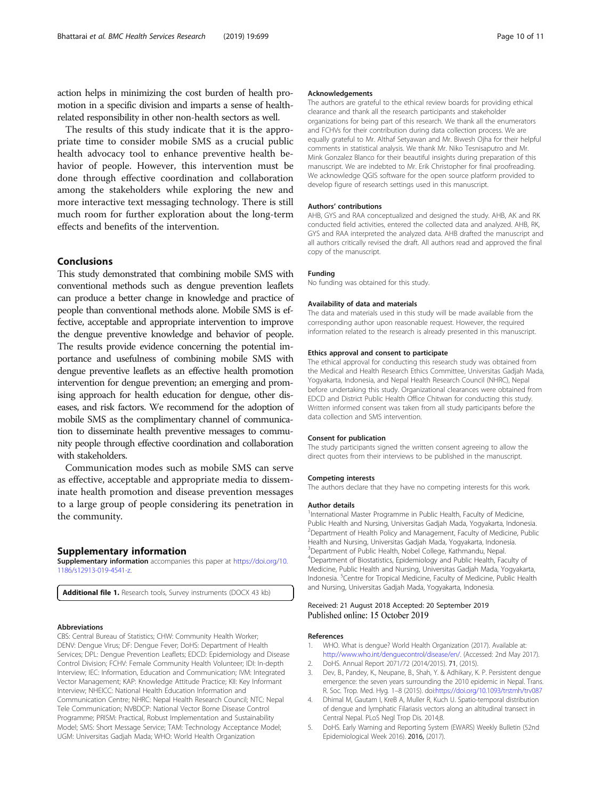<span id="page-9-0"></span>action helps in minimizing the cost burden of health promotion in a specific division and imparts a sense of healthrelated responsibility in other non-health sectors as well.

The results of this study indicate that it is the appropriate time to consider mobile SMS as a crucial public health advocacy tool to enhance preventive health behavior of people. However, this intervention must be done through effective coordination and collaboration among the stakeholders while exploring the new and more interactive text messaging technology. There is still much room for further exploration about the long-term effects and benefits of the intervention.

#### Conclusions

This study demonstrated that combining mobile SMS with conventional methods such as dengue prevention leaflets can produce a better change in knowledge and practice of people than conventional methods alone. Mobile SMS is effective, acceptable and appropriate intervention to improve the dengue preventive knowledge and behavior of people. The results provide evidence concerning the potential importance and usefulness of combining mobile SMS with dengue preventive leaflets as an effective health promotion intervention for dengue prevention; an emerging and promising approach for health education for dengue, other diseases, and risk factors. We recommend for the adoption of mobile SMS as the complimentary channel of communication to disseminate health preventive messages to community people through effective coordination and collaboration with stakeholders.

Communication modes such as mobile SMS can serve as effective, acceptable and appropriate media to disseminate health promotion and disease prevention messages to a large group of people considering its penetration in the community.

#### Supplementary information

Supplementary information accompanies this paper at [https://doi.org/10.](https://doi.org/10.1186/s12913-019-4541-z) [1186/s12913-019-4541-z](https://doi.org/10.1186/s12913-019-4541-z).

Additional file 1. Research tools, Survey instruments (DOCX 43 kb)

#### Abbreviations

CBS: Central Bureau of Statistics; CHW: Community Health Worker; DENV: Dengue Virus; DF: Dengue Fever; DoHS: Department of Health Services; DPL: Dengue Prevention Leaflets; EDCD: Epidemiology and Disease Control Division; FCHV: Female Community Health Volunteer; IDI: In-depth Interview; IEC: Information, Education and Communication; IVM: Integrated Vector Management; KAP: Knowledge Attitude Practice; KII: Key Informant Interview; NHEICC: National Health Education Information and Communication Centre; NHRC: Nepal Health Research Council; NTC: Nepal Tele Communication; NVBDCP: National Vector Borne Disease Control Programme; PRISM: Practical, Robust Implementation and Sustainability Model; SMS: Short Message Service; TAM: Technology Acceptance Model; UGM: Universitas Gadjah Mada; WHO: World Health Organization

#### Acknowledgements

The authors are grateful to the ethical review boards for providing ethical clearance and thank all the research participants and stakeholder organizations for being part of this research. We thank all the enumerators and FCHVs for their contribution during data collection process. We are equally grateful to Mr. Althaf Setyawan and Mr. Biwesh Ojha for their helpful comments in statistical analysis. We thank Mr. Niko Tesnisaputro and Mr. Mink Gonzalez Blanco for their beautiful insights during preparation of this manuscript. We are indebted to Mr. Erik Christopher for final proofreading. We acknowledge QGIS software for the open source platform provided to develop figure of research settings used in this manuscript.

#### Authors' contributions

AHB, GYS and RAA conceptualized and designed the study. AHB, AK and RK conducted field activities, entered the collected data and analyzed. AHB, RK, GYS and RAA interpreted the analyzed data. AHB drafted the manuscript and all authors critically revised the draft. All authors read and approved the final copy of the manuscript.

#### Funding

No funding was obtained for this study.

#### Availability of data and materials

The data and materials used in this study will be made available from the corresponding author upon reasonable request. However, the required information related to the research is already presented in this manuscript.

#### Ethics approval and consent to participate

The ethical approval for conducting this research study was obtained from the Medical and Health Research Ethics Committee, Universitas Gadjah Mada, Yogyakarta, Indonesia, and Nepal Health Research Council (NHRC), Nepal before undertaking this study. Organizational clearances were obtained from EDCD and District Public Health Office Chitwan for conducting this study. Written informed consent was taken from all study participants before the data collection and SMS intervention.

#### Consent for publication

The study participants signed the written consent agreeing to allow the direct quotes from their interviews to be published in the manuscript.

#### Competing interests

The authors declare that they have no competing interests for this work.

#### Author details

<sup>1</sup>International Master Programme in Public Health, Faculty of Medicine, Public Health and Nursing, Universitas Gadjah Mada, Yogyakarta, Indonesia. <sup>2</sup> Department of Health Policy and Management, Faculty of Medicine, Public Health and Nursing, Universitas Gadjah Mada, Yogyakarta, Indonesia. <sup>3</sup>Department of Public Health, Nobel College, Kathmandu, Nepal. 4 Department of Biostatistics, Epidemiology and Public Health, Faculty of Medicine, Public Health and Nursing, Universitas Gadjah Mada, Yogyakarta, Indonesia. <sup>5</sup>Centre for Tropical Medicine, Faculty of Medicine, Public Health and Nursing, Universitas Gadjah Mada, Yogyakarta, Indonesia.

#### Received: 21 August 2018 Accepted: 20 September 2019 Published online: 15 October 2019

#### References

- 1. WHO. What is dengue? World Health Organization (2017). Available at: <http://www.who.int/denguecontrol/disease/en/>. (Accessed: 2nd May 2017).
- 2. DoHS. Annual Report 2071/72 (2014/2015). 71, (2015).
- 3. Dev, B., Pandey, K., Neupane, B., Shah, Y. & Adhikary, K. P. Persistent dengue emergence: the seven years surrounding the 2010 epidemic in Nepal. Trans. R. Soc. Trop. Med. Hyg. 1–8 (2015). doi:<https://doi.org/10.1093/trstmh/trv087>
- 4. Dhimal M, Gautam I, KreB A, Muller R, Kuch U. Spatio-temporal distribution of dengue and lymphatic Filariasis vectors along an altitudinal transect in Central Nepal. PLoS Negl Trop Dis. 2014;8.
- 5. DoHS. Early Warning and Reporting System (EWARS) Weekly Bulletin (52nd Epidemiological Week 2016). 2016, (2017).